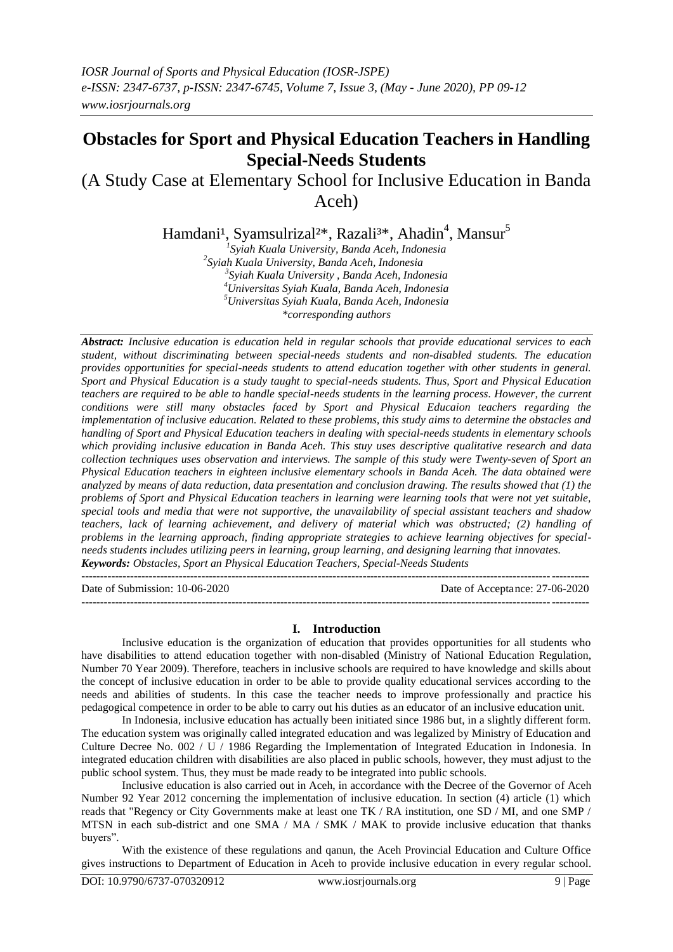# **Obstacles for Sport and Physical Education Teachers in Handling Special-Needs Students**

(A Study Case at Elementary School for Inclusive Education in Banda Aceh)

Hamdani<sup>1</sup>, Syamsulrizal<sup>2\*</sup>, Razali<sup>3\*</sup>, Ahadin<sup>4</sup>, Mansur<sup>5</sup><br><sup>1</sup>Syiah Kuala University, Banda Aceh, Indonesia

 *Syiah Kuala University, Banda Aceh, Indonesia Syiah Kuala University , Banda Aceh, Indonesia Universitas Syiah Kuala, Banda Aceh, Indonesia Universitas Syiah Kuala, Banda Aceh, Indonesia \*corresponding authors*

*Abstract: Inclusive education is education held in regular schools that provide educational services to each student, without discriminating between special-needs students and non-disabled students. The education provides opportunities for special-needs students to attend education together with other students in general. Sport and Physical Education is a study taught to special-needs students. Thus, Sport and Physical Education teachers are required to be able to handle special-needs students in the learning process. However, the current conditions were still many obstacles faced by Sport and Physical Educaion teachers regarding the implementation of inclusive education. Related to these problems, this study aims to determine the obstacles and handling of Sport and Physical Education teachers in dealing with special-needs students in elementary schools which providing inclusive education in Banda Aceh. This stuy uses descriptive qualitative research and data collection techniques uses observation and interviews. The sample of this study were Twenty-seven of Sport an Physical Education teachers in eighteen inclusive elementary schools in Banda Aceh. The data obtained were analyzed by means of data reduction, data presentation and conclusion drawing. The results showed that (1) the problems of Sport and Physical Education teachers in learning were learning tools that were not yet suitable, special tools and media that were not supportive, the unavailability of special assistant teachers and shadow teachers, lack of learning achievement, and delivery of material which was obstructed; (2) handling of problems in the learning approach, finding appropriate strategies to achieve learning objectives for specialneeds students includes utilizing peers in learning, group learning, and designing learning that innovates. Keywords: Obstacles, Sport an Physical Education Teachers, Special-Needs Students*

---------------------------------------------------------------------------------------------------------------------------------------

Date of Submission: 10-06-2020 Date of Acceptance: 27-06-2020

# **I. Introduction**

---------------------------------------------------------------------------------------------------------------------------------------

Inclusive education is the organization of education that provides opportunities for all students who have disabilities to attend education together with non-disabled (Ministry of National Education Regulation, Number 70 Year 2009). Therefore, teachers in inclusive schools are required to have knowledge and skills about the concept of inclusive education in order to be able to provide quality educational services according to the needs and abilities of students. In this case the teacher needs to improve professionally and practice his pedagogical competence in order to be able to carry out his duties as an educator of an inclusive education unit.

In Indonesia, inclusive education has actually been initiated since 1986 but, in a slightly different form. The education system was originally called integrated education and was legalized by Ministry of Education and Culture Decree No. 002 / U / 1986 Regarding the Implementation of Integrated Education in Indonesia. In integrated education children with disabilities are also placed in public schools, however, they must adjust to the public school system. Thus, they must be made ready to be integrated into public schools.

Inclusive education is also carried out in Aceh, in accordance with the Decree of the Governor of Aceh Number 92 Year 2012 concerning the implementation of inclusive education. In section (4) article (1) which reads that "Regency or City Governments make at least one TK / RA institution, one SD / MI, and one SMP / MTSN in each sub-district and one SMA / MA / SMK / MAK to provide inclusive education that thanks buyers".

With the existence of these regulations and qanun, the Aceh Provincial Education and Culture Office gives instructions to Department of Education in Aceh to provide inclusive education in every regular school.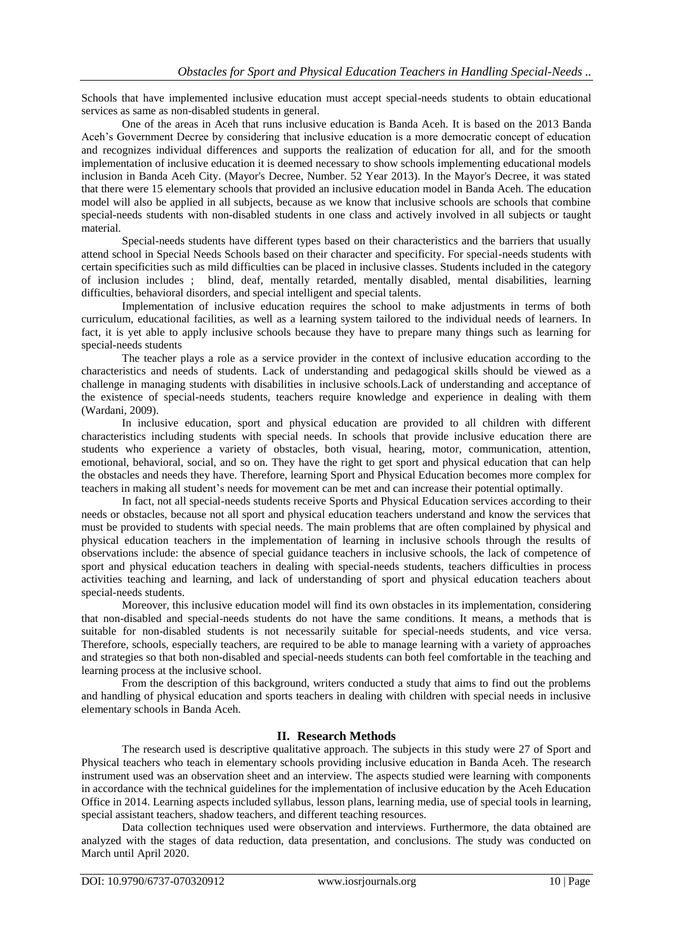Schools that have implemented inclusive education must accept special-needs students to obtain educational services as same as non-disabled students in general.

One of the areas in Aceh that runs inclusive education is Banda Aceh. It is based on the 2013 Banda Aceh's Government Decree by considering that inclusive education is a more democratic concept of education and recognizes individual differences and supports the realization of education for all, and for the smooth implementation of inclusive education it is deemed necessary to show schools implementing educational models inclusion in Banda Aceh City. (Mayor's Decree, Number. 52 Year 2013). In the Mayor's Decree, it was stated that there were 15 elementary schools that provided an inclusive education model in Banda Aceh. The education model will also be applied in all subjects, because as we know that inclusive schools are schools that combine special-needs students with non-disabled students in one class and actively involved in all subjects or taught material.

Special-needs students have different types based on their characteristics and the barriers that usually attend school in Special Needs Schools based on their character and specificity. For special-needs students with certain specificities such as mild difficulties can be placed in inclusive classes. Students included in the category of inclusion includes ; blind, deaf, mentally retarded, mentally disabled, mental disabilities, learning difficulties, behavioral disorders, and special intelligent and special talents.

Implementation of inclusive education requires the school to make adjustments in terms of both curriculum, educational facilities, as well as a learning system tailored to the individual needs of learners. In fact, it is yet able to apply inclusive schools because they have to prepare many things such as learning for special-needs students

The teacher plays a role as a service provider in the context of inclusive education according to the characteristics and needs of students. Lack of understanding and pedagogical skills should be viewed as a challenge in managing students with disabilities in inclusive schools.Lack of understanding and acceptance of the existence of special-needs students, teachers require knowledge and experience in dealing with them (Wardani, 2009).

In inclusive education, sport and physical education are provided to all children with different characteristics including students with special needs. In schools that provide inclusive education there are students who experience a variety of obstacles, both visual, hearing, motor, communication, attention, emotional, behavioral, social, and so on. They have the right to get sport and physical education that can help the obstacles and needs they have. Therefore, learning Sport and Physical Education becomes more complex for teachers in making all student's needs for movement can be met and can increase their potential optimally.

In fact, not all special-needs students receive Sports and Physical Education services according to their needs or obstacles, because not all sport and physical education teachers understand and know the services that must be provided to students with special needs. The main problems that are often complained by physical and physical education teachers in the implementation of learning in inclusive schools through the results of observations include: the absence of special guidance teachers in inclusive schools, the lack of competence of sport and physical education teachers in dealing with special-needs students, teachers difficulties in process activities teaching and learning, and lack of understanding of sport and physical education teachers about special-needs students.

Moreover, this inclusive education model will find its own obstacles in its implementation, considering that non-disabled and special-needs students do not have the same conditions. It means, a methods that is suitable for non-disabled students is not necessarily suitable for special-needs students, and vice versa. Therefore, schools, especially teachers, are required to be able to manage learning with a variety of approaches and strategies so that both non-disabled and special-needs students can both feel comfortable in the teaching and learning process at the inclusive school.

From the description of this background, writers conducted a study that aims to find out the problems and handling of physical education and sports teachers in dealing with children with special needs in inclusive elementary schools in Banda Aceh.

# **II. Research Methods**

The research used is descriptive qualitative approach. The subjects in this study were 27 of Sport and Physical teachers who teach in elementary schools providing inclusive education in Banda Aceh. The research instrument used was an observation sheet and an interview. The aspects studied were learning with components in accordance with the technical guidelines for the implementation of inclusive education by the Aceh Education Office in 2014. Learning aspects included syllabus, lesson plans, learning media, use of special tools in learning, special assistant teachers, shadow teachers, and different teaching resources.

Data collection techniques used were observation and interviews. Furthermore, the data obtained are analyzed with the stages of data reduction, data presentation, and conclusions. The study was conducted on March until April 2020.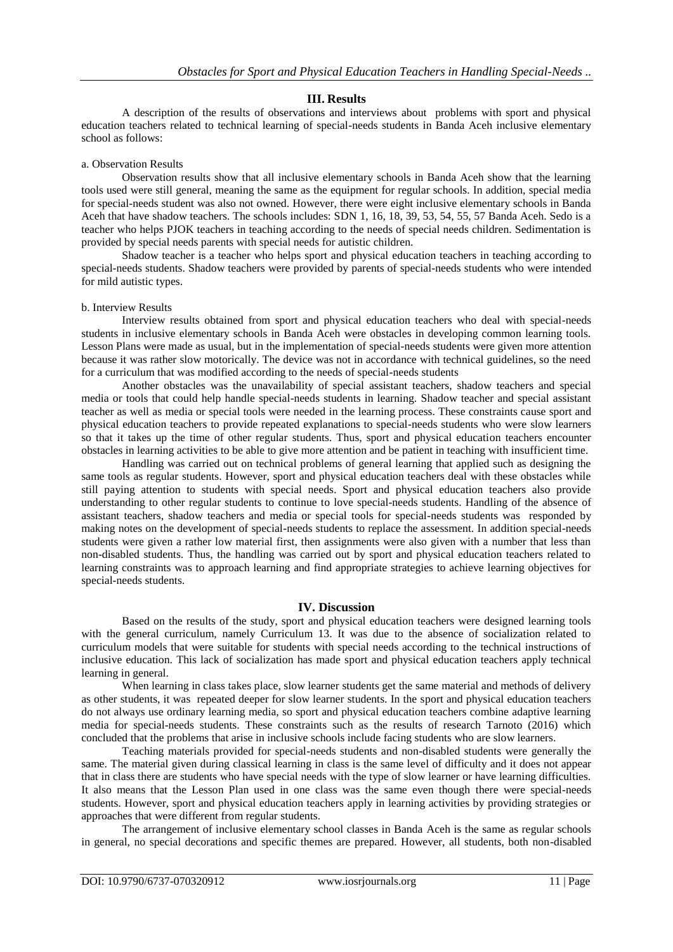## **III. Results**

A description of the results of observations and interviews about problems with sport and physical education teachers related to technical learning of special-needs students in Banda Aceh inclusive elementary school as follows:

#### a. Observation Results

Observation results show that all inclusive elementary schools in Banda Aceh show that the learning tools used were still general, meaning the same as the equipment for regular schools. In addition, special media for special-needs student was also not owned. However, there were eight inclusive elementary schools in Banda Aceh that have shadow teachers. The schools includes: SDN 1, 16, 18, 39, 53, 54, 55, 57 Banda Aceh. Sedo is a teacher who helps PJOK teachers in teaching according to the needs of special needs children. Sedimentation is provided by special needs parents with special needs for autistic children.

Shadow teacher is a teacher who helps sport and physical education teachers in teaching according to special-needs students. Shadow teachers were provided by parents of special-needs students who were intended for mild autistic types.

#### b. Interview Results

Interview results obtained from sport and physical education teachers who deal with special-needs students in inclusive elementary schools in Banda Aceh were obstacles in developing common learning tools. Lesson Plans were made as usual, but in the implementation of special-needs students were given more attention because it was rather slow motorically. The device was not in accordance with technical guidelines, so the need for a curriculum that was modified according to the needs of special-needs students

Another obstacles was the unavailability of special assistant teachers, shadow teachers and special media or tools that could help handle special-needs students in learning. Shadow teacher and special assistant teacher as well as media or special tools were needed in the learning process. These constraints cause sport and physical education teachers to provide repeated explanations to special-needs students who were slow learners so that it takes up the time of other regular students. Thus, sport and physical education teachers encounter obstacles in learning activities to be able to give more attention and be patient in teaching with insufficient time.

Handling was carried out on technical problems of general learning that applied such as designing the same tools as regular students. However, sport and physical education teachers deal with these obstacles while still paying attention to students with special needs. Sport and physical education teachers also provide understanding to other regular students to continue to love special-needs students. Handling of the absence of assistant teachers, shadow teachers and media or special tools for special-needs students was responded by making notes on the development of special-needs students to replace the assessment. In addition special-needs students were given a rather low material first, then assignments were also given with a number that less than non-disabled students. Thus, the handling was carried out by sport and physical education teachers related to learning constraints was to approach learning and find appropriate strategies to achieve learning objectives for special-needs students.

## **IV. Discussion**

Based on the results of the study, sport and physical education teachers were designed learning tools with the general curriculum, namely Curriculum 13. It was due to the absence of socialization related to curriculum models that were suitable for students with special needs according to the technical instructions of inclusive education. This lack of socialization has made sport and physical education teachers apply technical learning in general.

When learning in class takes place, slow learner students get the same material and methods of delivery as other students, it was repeated deeper for slow learner students. In the sport and physical education teachers do not always use ordinary learning media, so sport and physical education teachers combine adaptive learning media for special-needs students. These constraints such as the results of research Tarnoto (2016) which concluded that the problems that arise in inclusive schools include facing students who are slow learners.

Teaching materials provided for special-needs students and non-disabled students were generally the same. The material given during classical learning in class is the same level of difficulty and it does not appear that in class there are students who have special needs with the type of slow learner or have learning difficulties. It also means that the Lesson Plan used in one class was the same even though there were special-needs students. However, sport and physical education teachers apply in learning activities by providing strategies or approaches that were different from regular students.

The arrangement of inclusive elementary school classes in Banda Aceh is the same as regular schools in general, no special decorations and specific themes are prepared. However, all students, both non-disabled